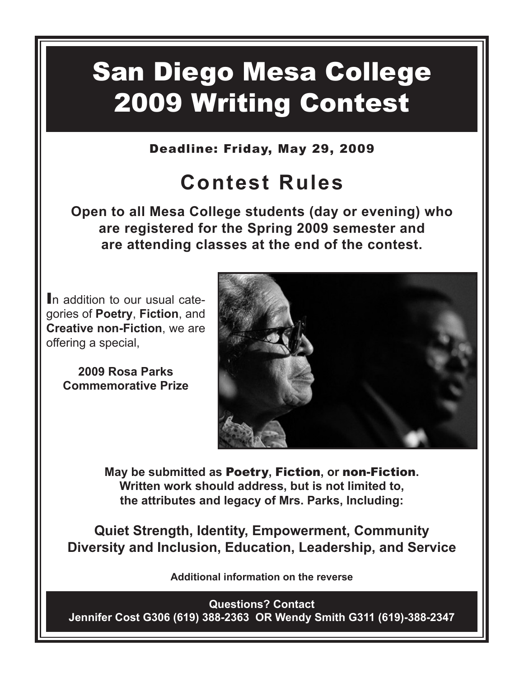# San Diego Mesa College 2009 Writing Contest

Deadline: Friday, May 29, 2009

## **Contest Rules**

**Open to all Mesa College students (day or evening) who are registered for the Spring 2009 semester and are attending classes at the end of the contest.** 

In addition to our usual categories of **Poetry**, **Fiction**, and **Creative non-Fiction**, we are offering a special,

> **2009 Rosa Parks Commemorative Prize**



**May be submitted as** Poetry**,** Fiction**, or** non-Fiction**. Written work should address, but is not limited to, the attributes and legacy of Mrs. Parks, Including:**

**Quiet Strength, Identity, Empowerment, Community Diversity and Inclusion, Education, Leadership, and Service**

**Additional information on the reverse**

**Questions? Contact Jennifer Cost G306 (619) 388-2363 OR Wendy Smith G311 (619)-388-2347**